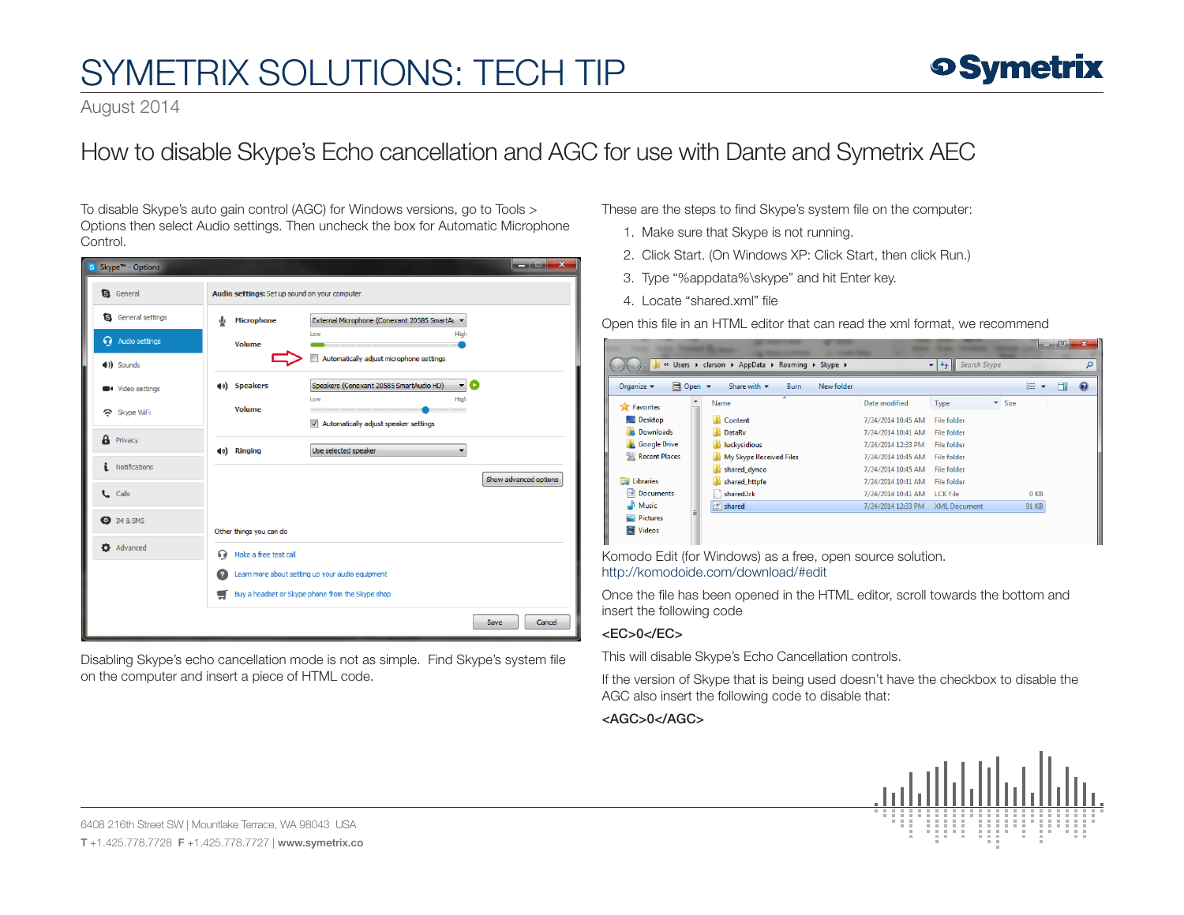# SYMETRIX SOLUTIONS: TECH TIP

August 2014

### How to disable Skype's Echo cancellation and AGC for use with Dante and Symetrix AEC

To disable Skype's auto gain control (AGC) for Windows versions, go to Tools > Options then select Audio settings. Then uncheck the box for Automatic Microphone Control.

| S Skype™ - Options             |                                                                                  | $\overline{\phantom{a}}$ $\overline{\phantom{a}}$ $\overline{\phantom{a}}$ $\overline{\phantom{a}}$ $\overline{\phantom{a}}$ $\overline{\phantom{a}}$ $\overline{\phantom{a}}$ $\overline{\phantom{a}}$ $\overline{\phantom{a}}$ $\overline{\phantom{a}}$ $\overline{\phantom{a}}$ $\overline{\phantom{a}}$ $\overline{\phantom{a}}$ $\overline{\phantom{a}}$ $\overline{\phantom{a}}$ $\overline{\phantom{a}}$ $\overline{\phantom{a}}$ $\overline{\phantom{a}}$ $\overline{\$ |  |  |  |  |
|--------------------------------|----------------------------------------------------------------------------------|---------------------------------------------------------------------------------------------------------------------------------------------------------------------------------------------------------------------------------------------------------------------------------------------------------------------------------------------------------------------------------------------------------------------------------------------------------------------------------|--|--|--|--|
| <b>8</b> General               | Audio settings: Set up sound on your computer                                    |                                                                                                                                                                                                                                                                                                                                                                                                                                                                                 |  |  |  |  |
| <b>S</b> General settings      | Microphone<br>External Microphone (Conexant 20585 SmartAL V<br>⋓                 |                                                                                                                                                                                                                                                                                                                                                                                                                                                                                 |  |  |  |  |
| Audio settings                 | Low<br>High<br>Volume                                                            |                                                                                                                                                                                                                                                                                                                                                                                                                                                                                 |  |  |  |  |
| (1) Sounds                     | Automatically adjust microphone settings                                         |                                                                                                                                                                                                                                                                                                                                                                                                                                                                                 |  |  |  |  |
| <b>Compared Video settings</b> | О<br>(1) Speakers<br>Speakers (Conexant 20585 SmartAudio HD)<br>▾<br>High<br>Low |                                                                                                                                                                                                                                                                                                                                                                                                                                                                                 |  |  |  |  |
| Skype WiFi                     | <b>Volume</b><br>Automatically adjust speaker settings<br>$\triangledown$        |                                                                                                                                                                                                                                                                                                                                                                                                                                                                                 |  |  |  |  |
| <b>A</b> Privacy               | Use selected speaker<br>(b) Ringing<br>۰                                         |                                                                                                                                                                                                                                                                                                                                                                                                                                                                                 |  |  |  |  |
| i<br>Notifications             | Show advanced options                                                            |                                                                                                                                                                                                                                                                                                                                                                                                                                                                                 |  |  |  |  |
| <b>L</b> Calls                 |                                                                                  |                                                                                                                                                                                                                                                                                                                                                                                                                                                                                 |  |  |  |  |
| <b>O</b> IM & SMS              | Other things you can do                                                          |                                                                                                                                                                                                                                                                                                                                                                                                                                                                                 |  |  |  |  |
| Advanced                       | ົ<br>Make a free test call                                                       |                                                                                                                                                                                                                                                                                                                                                                                                                                                                                 |  |  |  |  |
|                                | Learn more about setting up your audio equipment                                 |                                                                                                                                                                                                                                                                                                                                                                                                                                                                                 |  |  |  |  |
|                                | Buy a headset or Skype phone from the Skype shop                                 |                                                                                                                                                                                                                                                                                                                                                                                                                                                                                 |  |  |  |  |
|                                | Save                                                                             | Cancel                                                                                                                                                                                                                                                                                                                                                                                                                                                                          |  |  |  |  |

Disabling Skype's echo cancellation mode is not as simple. Find Skype's system file on the computer and insert a piece of HTML code.

These are the steps to find Skype's system file on the computer:

- 1. Make sure that Skype is not running.
- 2. Click Start. (On Windows XP: Click Start, then click Run.)
- 3. Type "%appdata%\skype" and hit Enter key.
- 4. Locate "shared.xml" file

Open this file in an HTML editor that can read the xml format, we recommend

|                                                                                         |                                                                           |                    |                     |                               | -            | $\Box$ | $\overline{\mathbf{x}}$ |
|-----------------------------------------------------------------------------------------|---------------------------------------------------------------------------|--------------------|---------------------|-------------------------------|--------------|--------|-------------------------|
| Search Skype<br>« Users > clarson > AppData > Roaming > Skype ><br>4 <sub>f</sub><br>۰ı |                                                                           |                    |                     |                               |              | م      |                         |
| Organize $\blacktriangledown$                                                           | <b>Ed</b> Open ▼<br>Share with $\blacktriangledown$<br>New folder<br>Burn |                    |                     |                               | 8三 ▼         |        | $\bullet$               |
| Favorites                                                                               | ≖<br>Name                                                                 | Date modified      | Type                | $\overline{\phantom{a}}$ Size |              |        |                         |
| Desktop                                                                                 | Content                                                                   | 7/24/2014 10:45 AM | <b>File folder</b>  |                               |              |        |                         |
| <b>Downloads</b>                                                                        | <b>DataRv</b>                                                             | 7/24/2014 10:41 AM | <b>File folder</b>  |                               |              |        |                         |
| <b>Google Drive</b>                                                                     | luckysidious                                                              | 7/24/2014 12:33 PM | <b>File folder</b>  |                               |              |        |                         |
| Recent Places                                                                           | My Skype Received Files                                                   | 7/24/2014 10:45 AM | File folder         |                               |              |        |                         |
|                                                                                         | shared_dynco                                                              | 7/24/2014 10:45 AM | <b>File folder</b>  |                               |              |        |                         |
| <b>Libraries</b>                                                                        | shared_httpfe                                                             | 7/24/2014 10:41 AM | <b>File folder</b>  |                               |              |        |                         |
| B<br>Documents                                                                          | shared.lck                                                                | 7/24/2014 10:41 AM | <b>LCK File</b>     |                               | 0 KB         |        |                         |
| Music                                                                                   | $\left  \stackrel{\circ}{=}\right $ shared<br>Ξ                           | 7/24/2014 12:33 PM | <b>XML Document</b> |                               | <b>91 KB</b> |        |                         |
| <b>Pictures</b>                                                                         |                                                                           |                    |                     |                               |              |        |                         |
| <b>Videos</b>                                                                           |                                                                           |                    |                     |                               |              |        |                         |

Komodo Edit (for Windows) as a free, open source solution. http://komodoide.com/download/#edit

Once the file has been opened in the HTML editor, scroll towards the bottom and insert the following code

### <EC>0</EC>

This will disable Skype's Echo Cancellation controls.

If the version of Skype that is being used doesn't have the checkbox to disable the AGC also insert the following code to disable that:

### <AGC>0</AGC>